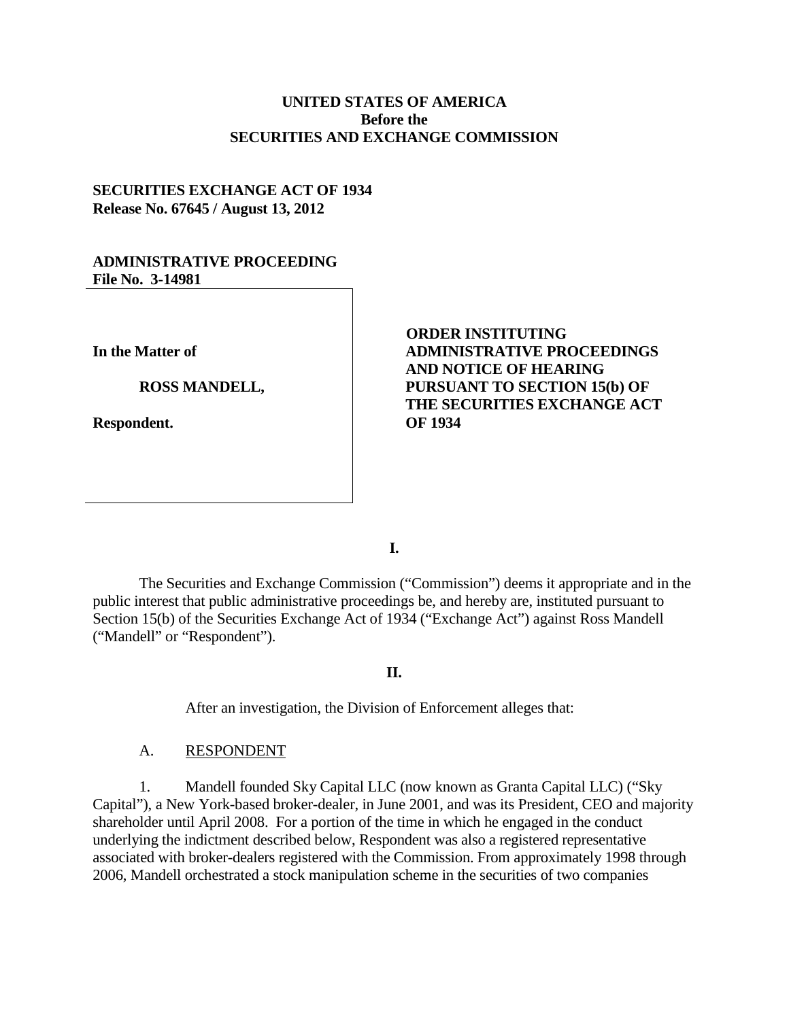# **UNITED STATES OF AMERICA Before the SECURITIES AND EXCHANGE COMMISSION**

# **SECURITIES EXCHANGE ACT OF 1934 Release No. 67645 / August 13, 2012**

### **ADMINISTRATIVE PROCEEDING File No. 3-14981**

**In the Matter of**

**ROSS MANDELL,** 

**Respondent.**

# **ORDER INSTITUTING ADMINISTRATIVE PROCEEDINGS AND NOTICE OF HEARING PURSUANT TO SECTION 15(b) OF THE SECURITIES EXCHANGE ACT OF 1934**

**I.**

The Securities and Exchange Commission ("Commission") deems it appropriate and in the public interest that public administrative proceedings be, and hereby are, instituted pursuant to Section 15(b) of the Securities Exchange Act of 1934 ("Exchange Act") against Ross Mandell ("Mandell" or "Respondent").

#### **II.**

After an investigation, the Division of Enforcement alleges that:

### A. RESPONDENT

1. Mandell founded Sky Capital LLC (now known as Granta Capital LLC) ("Sky Capital"), a New York-based broker-dealer, in June 2001, and was its President, CEO and majority shareholder until April 2008. For a portion of the time in which he engaged in the conduct underlying the indictment described below, Respondent was also a registered representative associated with broker-dealers registered with the Commission. From approximately 1998 through 2006, Mandell orchestrated a stock manipulation scheme in the securities of two companies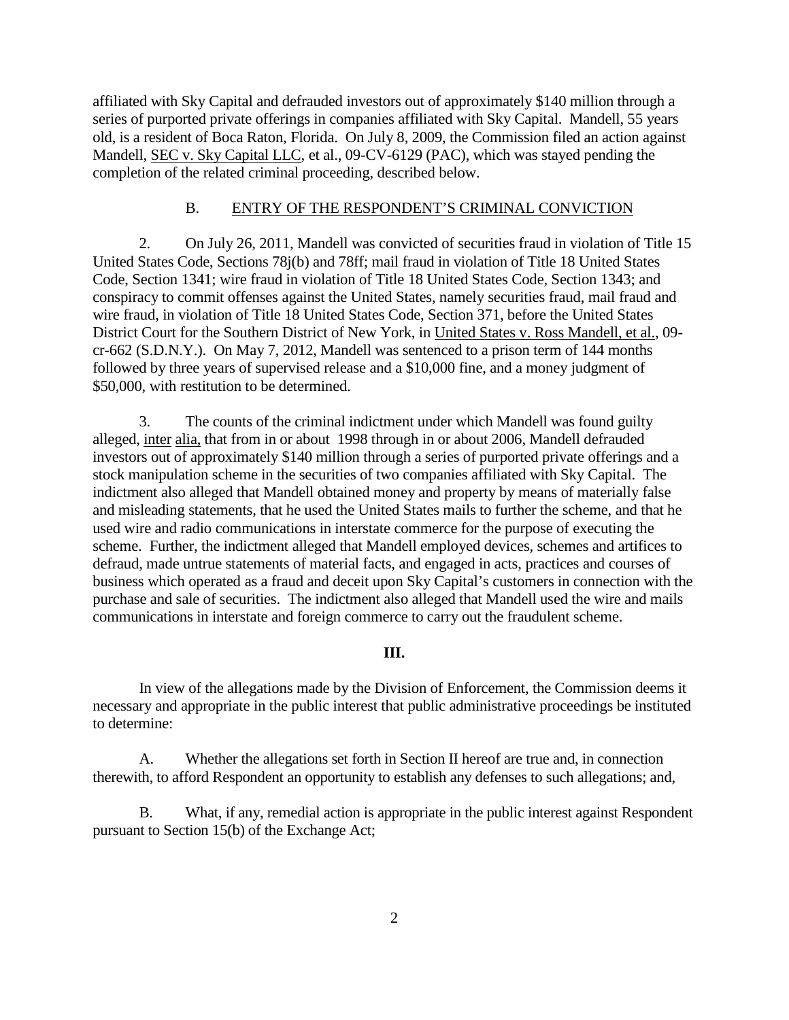affiliated with Sky Capital and defrauded investors out of approximately \$140 million through a series of purported private offerings in companies affiliated with Sky Capital. Mandell, 55 years old, is a resident of Boca Raton, Florida. On July 8, 2009, the Commission filed an action against Mandell, SEC v. Sky Capital LLC, et al., 09-CV-6129 (PAC), which was stayed pending the completion of the related criminal proceeding, described below.

### B. ENTRY OF THE RESPONDENT'S CRIMINAL CONVICTION

2. On July 26, 2011, Mandell was convicted of securities fraud in violation of Title 15 United States Code, Sections 78j(b) and 78ff; mail fraud in violation of Title 18 United States Code, Section 1341; wire fraud in violation of Title 18 United States Code, Section 1343; and conspiracy to commit offenses against the United States, namely securities fraud, mail fraud and wire fraud, in violation of Title 18 United States Code, Section 371, before the United States District Court for the Southern District of New York, in United States v. Ross Mandell, et al., 09 cr-662 (S.D.N.Y.). On May 7, 2012, Mandell was sentenced to a prison term of 144 months followed by three years of supervised release and a \$10,000 fine, and a money judgment of \$50,000, with restitution to be determined.

 3. The counts of the criminal indictment under which Mandell was found guilty alleged, inter alia, that from in or about 1998 through in or about 2006, Mandell defrauded investors out of approximately \$140 million through a series of purported private offerings and a stock manipulation scheme in the securities of two companies affiliated with Sky Capital. The indictment also alleged that Mandell obtained money and property by means of materially false and misleading statements, that he used the United States mails to further the scheme, and that he used wire and radio communications in interstate commerce for the purpose of executing the scheme. Further, the indictment alleged that Mandell employed devices, schemes and artifices to defraud, made untrue statements of material facts, and engaged in acts, practices and courses of business which operated as a fraud and deceit upon Sky Capital's customers in connection with the purchase and sale of securities. The indictment also alleged that Mandell used the wire and mails communications in interstate and foreign commerce to carry out the fraudulent scheme.

## **III.**

In view of the allegations made by the Division of Enforcement, the Commission deems it necessary and appropriate in the public interest that public administrative proceedings be instituted to determine:

A. Whether the allegations set forth in Section II hereof are true and, in connection therewith, to afford Respondent an opportunity to establish any defenses to such allegations; and,

B. What, if any, remedial action is appropriate in the public interest against Respondent pursuant to Section 15(b) of the Exchange Act;